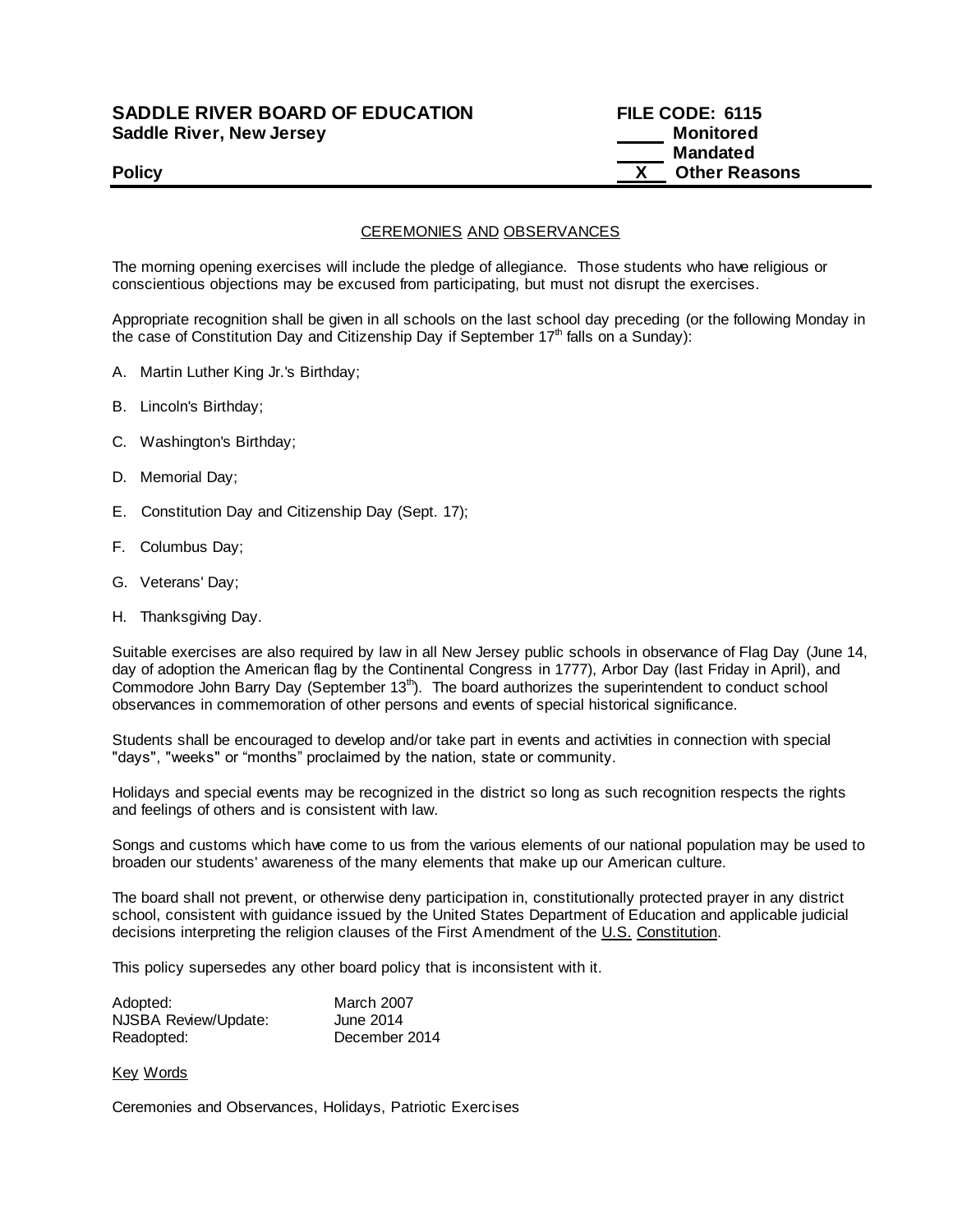## **SADDLE RIVER BOARD OF EDUCATION FILE CODE: 6115 Saddle River, New Jersey Monitored Monitored**

# **Mandated Policy COLLEGENS Policy COLLEGENS COLLEGENS COLLEGENS X Other Reasons**

CEREMONIES AND OBSERVANCES

The morning opening exercises will include the pledge of allegiance. Those students who have religious or conscientious objections may be excused from participating, but must not disrupt the exercises.

Appropriate recognition shall be given in all schools on the last school day preceding (or the following Monday in the case of Constitution Day and Citizenship Day if September  $17<sup>th</sup>$  falls on a Sunday):

- A. Martin Luther King Jr.'s Birthday;
- B. Lincoln's Birthday;
- C. Washington's Birthday;
- D. Memorial Day;
- E. Constitution Day and Citizenship Day (Sept. 17);
- F. Columbus Day;
- G. Veterans' Day;
- H. Thanksgiving Day.

Suitable exercises are also required by law in all New Jersey public schools in observance of Flag Day (June 14, day of adoption the American flag by the Continental Congress in 1777), Arbor Day (last Friday in April), and Commodore John Barry Day (September  $13<sup>th</sup>$ ). The board authorizes the superintendent to conduct school observances in commemoration of other persons and events of special historical significance.

Students shall be encouraged to develop and/or take part in events and activities in connection with special "days", "weeks" or "months" proclaimed by the nation, state or community.

Holidays and special events may be recognized in the district so long as such recognition respects the rights and feelings of others and is consistent with law.

Songs and customs which have come to us from the various elements of our national population may be used to broaden our students' awareness of the many elements that make up our American culture.

The board shall not prevent, or otherwise deny participation in, constitutionally protected prayer in any district school, consistent with guidance issued by the United States Department of Education and applicable judicial decisions interpreting the religion clauses of the First Amendment of the U.S. Constitution.

This policy supersedes any other board policy that is inconsistent with it.

| Adopted:             | March 2007    |
|----------------------|---------------|
| NJSBA Review/Update: | June 2014     |
| Readopted:           | December 2014 |

#### Key Words

Ceremonies and Observances, Holidays, Patriotic Exercises